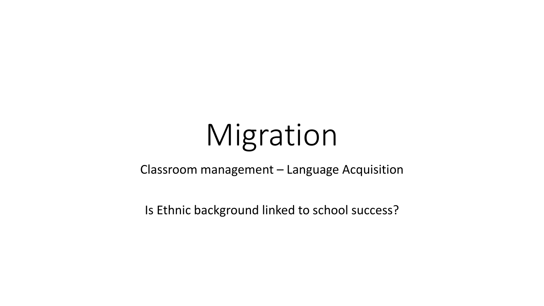# Migration

#### Classroom management – Language Acquisition

Is Ethnic background linked to school success?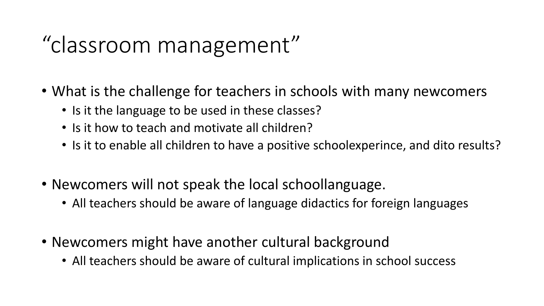## "classroom management"

- What is the challenge for teachers in schools with many newcomers
	- Is it the language to be used in these classes?
	- Is it how to teach and motivate all children?
	- Is it to enable all children to have a positive schoolexperince, and dito results?
- Newcomers will not speak the local schoollanguage.
	- All teachers should be aware of language didactics for foreign languages
- Newcomers might have another cultural background
	- All teachers should be aware of cultural implications in school success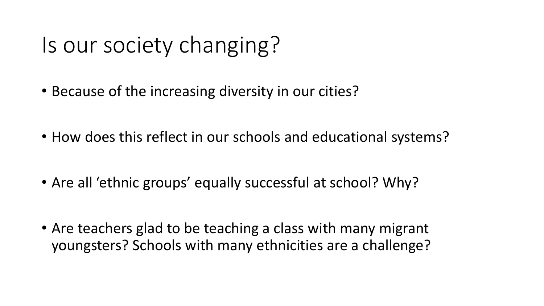#### Is our society changing?

- Because of the increasing diversity in our cities?
- How does this reflect in our schools and educational systems?
- Are all 'ethnic groups' equally successful at school? Why?
- Are teachers glad to be teaching a class with many migrant youngsters? Schools with many ethnicities are a challenge?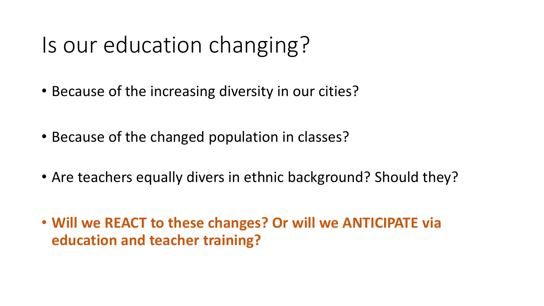### Is our education changing?

- Because of the increasing diversity in our cities?
- Because of the changed population in classes?
- Are teachers equally divers in ethnic background? Should they?
- **Will we REACT to these changes? Or will we ANTICIPATE via education and teacher training?**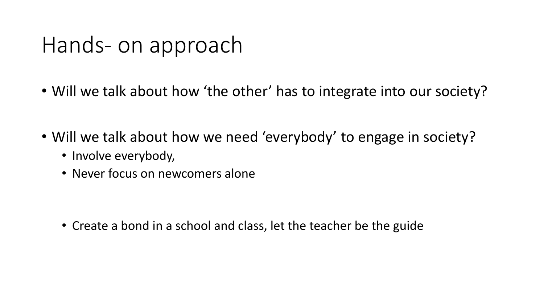#### Hands- on approach

- Will we talk about how 'the other' has to integrate into our society?
- Will we talk about how we need 'everybody' to engage in society?
	- Involve everybody,
	- Never focus on newcomers alone

• Create a bond in a school and class, let the teacher be the guide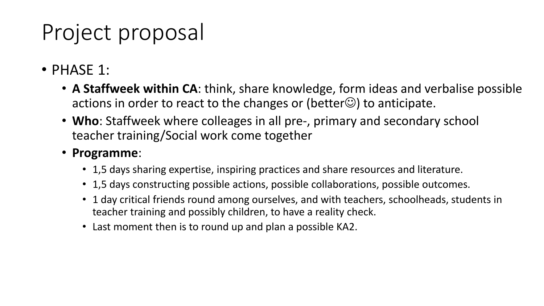## Project proposal

- PHASE 1:
	- **A Staffweek within CA**: think, share knowledge, form ideas and verbalise possible actions in order to react to the changes or (better $\odot$ ) to anticipate.
	- **Who**: Staffweek where colleages in all pre-, primary and secondary school teacher training/Social work come together
	- **Programme**:
		- 1,5 days sharing expertise, inspiring practices and share resources and literature.
		- 1,5 days constructing possible actions, possible collaborations, possible outcomes.
		- 1 day critical friends round among ourselves, and with teachers, schoolheads, students in teacher training and possibly children, to have a reality check.
		- Last moment then is to round up and plan a possible KA2.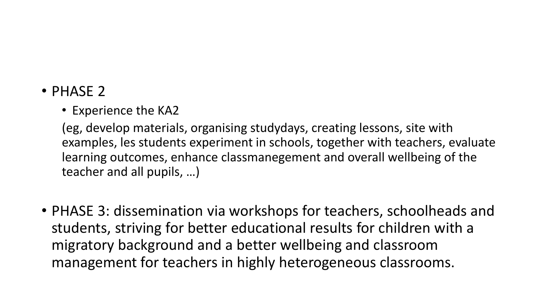#### • PHASE 2

• Experience the KA2

(eg, develop materials, organising studydays, creating lessons, site with examples, les students experiment in schools, together with teachers, evaluate learning outcomes, enhance classmanegement and overall wellbeing of the teacher and all pupils, …)

• PHASE 3: dissemination via workshops for teachers, schoolheads and students, striving for better educational results for children with a migratory background and a better wellbeing and classroom management for teachers in highly heterogeneous classrooms.